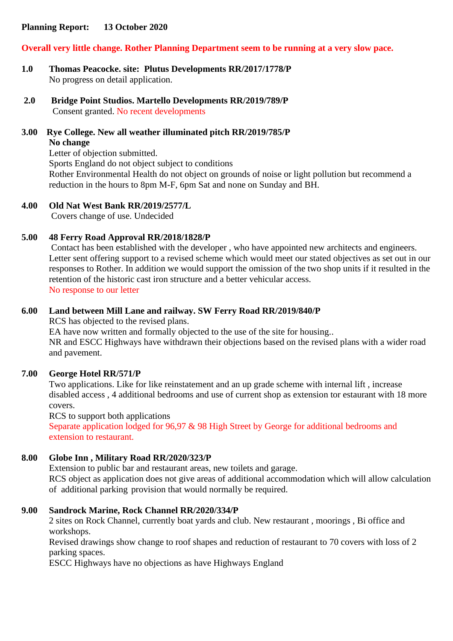### **Planning Report: 13 October 2020**

### **Overall very little change. Rother Planning Department seem to be running at a very slow pace.**

- **1.0 Thomas Peacocke. site: Plutus Developments RR/2017/1778/P** No progress on detail application.
- **2.0 Bridge Point Studios. Martello Developments RR/2019/789/P** Consent granted. No recent developments
- **3.00 Rye College. New all weather illuminated pitch RR/2019/785/P No change**

Letter of objection submitted. Sports England do not object subject to conditions Rother Environmental Health do not object on grounds of noise or light pollution but recommend a reduction in the hours to 8pm M-F, 6pm Sat and none on Sunday and BH.

#### **4.00 Old Nat West Bank RR/2019/2577/L**

Covers change of use. Undecided

#### **5.00 48 Ferry Road Approval RR/2018/1828/P**

Contact has been established with the developer , who have appointed new architects and engineers. Letter sent offering support to a revised scheme which would meet our stated objectives as set out in our responses to Rother. In addition we would support the omission of the two shop units if it resulted in the retention of the historic cast iron structure and a better vehicular access. No response to our letter

#### **6.00 Land between Mill Lane and railway. SW Ferry Road RR/2019/840/P**

RCS has objected to the revised plans.

EA have now written and formally objected to the use of the site for housing..

NR and ESCC Highways have withdrawn their objections based on the revised plans with a wider road and pavement.

#### **7.00 George Hotel RR/571/P**

Two applications. Like for like reinstatement and an up grade scheme with internal lift , increase disabled access , 4 additional bedrooms and use of current shop as extension tor estaurant with 18 more covers.

RCS to support both applications Separate application lodged for 96,97 & 98 High Street by George for additional bedrooms and extension to restaurant.

#### **8.00 Globe Inn , Military Road RR/2020/323/P**

Extension to public bar and restaurant areas, new toilets and garage. RCS object as application does not give areas of additional accommodation which will allow calculation of additional parking provision that would normally be required.

#### **9.00 Sandrock Marine, Rock Channel RR/2020/334/P**

2 sites on Rock Channel, currently boat yards and club. New restaurant , moorings , Bi office and workshops.

Revised drawings show change to roof shapes and reduction of restaurant to 70 covers with loss of 2 parking spaces.

ESCC Highways have no objections as have Highways England